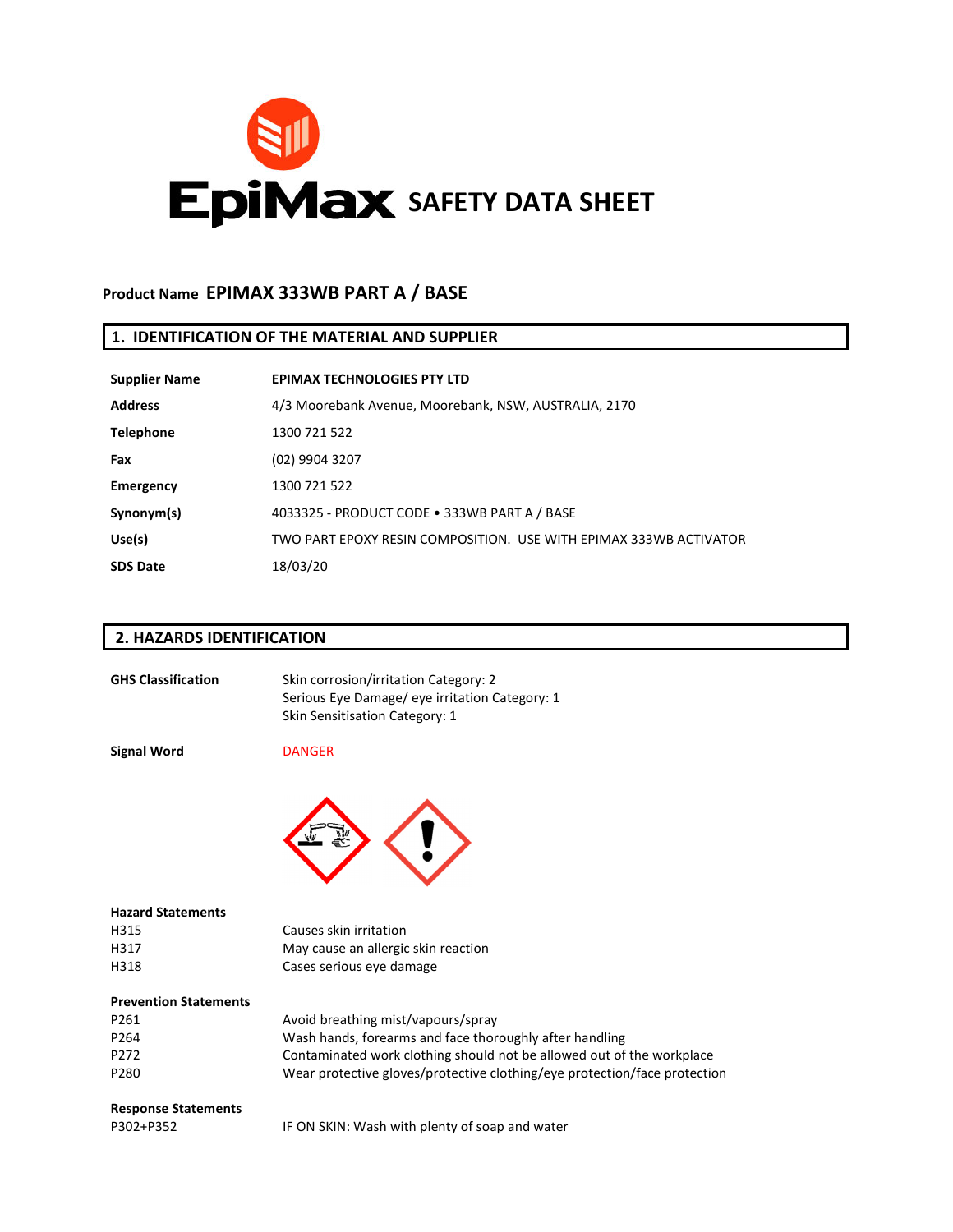

### **1. IDENTIFICATION OF THE MATERIAL AND SUPPLIER**

| <b>Supplier Name</b> | <b>EPIMAX TECHNOLOGIES PTY LTD</b>                                |
|----------------------|-------------------------------------------------------------------|
| <b>Address</b>       | 4/3 Moorebank Avenue, Moorebank, NSW, AUSTRALIA, 2170             |
| <b>Telephone</b>     | 1300 721 522                                                      |
| Fax                  | (02) 9904 3207                                                    |
| Emergency            | 1300 721 522                                                      |
| Synonym(s)           | 4033325 - PRODUCT CODE . 333WB PART A / BASE                      |
| Use(s)               | TWO PART EPOXY RESIN COMPOSITION. USE WITH EPIMAX 333WB ACTIVATOR |
| <b>SDS Date</b>      | 18/03/20                                                          |

## **2. HAZARDS IDENTIFICATION**

| <b>GHS Classification</b>    | Skin corrosion/irritation Category: 2<br>Serious Eye Damage/ eye irritation Category: 1<br>Skin Sensitisation Category: 1 |
|------------------------------|---------------------------------------------------------------------------------------------------------------------------|
| <b>Signal Word</b>           | <b>DANGER</b>                                                                                                             |
|                              |                                                                                                                           |
| <b>Hazard Statements</b>     |                                                                                                                           |
| H315                         | Causes skin irritation                                                                                                    |
| H317                         | May cause an allergic skin reaction                                                                                       |
| H318                         | Cases serious eye damage                                                                                                  |
| <b>Prevention Statements</b> |                                                                                                                           |
| P261                         | Avoid breathing mist/vapours/spray                                                                                        |
| P264                         | Wash hands, forearms and face thoroughly after handling                                                                   |
| P <sub>272</sub>             | Contaminated work clothing should not be allowed out of the workplace                                                     |
| P280                         | Wear protective gloves/protective clothing/eye protection/face protection                                                 |
| <b>Response Statements</b>   |                                                                                                                           |
| P302+P352                    | IF ON SKIN: Wash with plenty of soap and water                                                                            |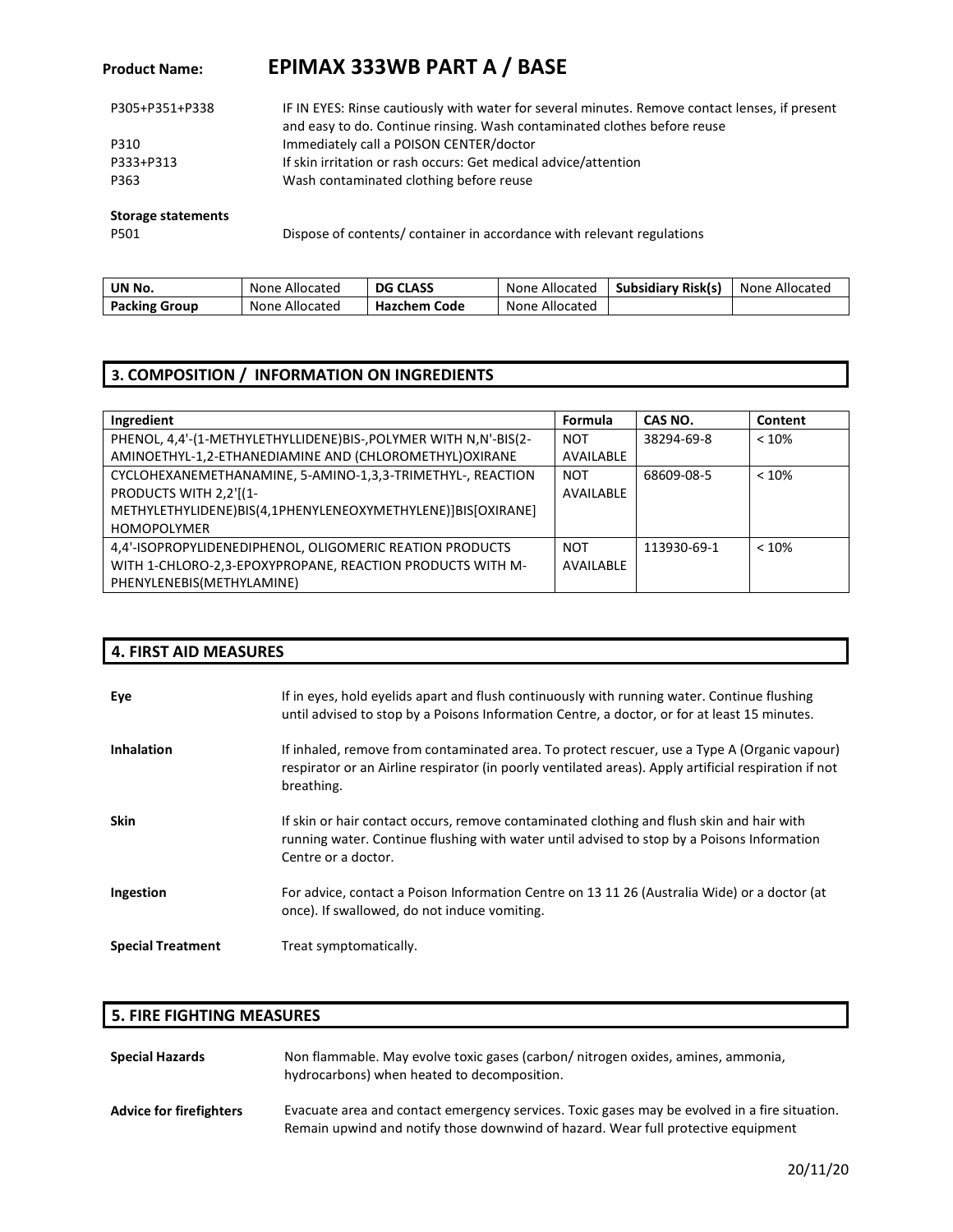| P305+P351+P338 | IF IN EYES: Rinse cautiously with water for several minutes. Remove contact lenses, if present<br>and easy to do. Continue rinsing. Wash contaminated clothes before reuse |
|----------------|----------------------------------------------------------------------------------------------------------------------------------------------------------------------------|
| P310           | Immediately call a POISON CENTER/doctor                                                                                                                                    |
| P333+P313      | If skin irritation or rash occurs: Get medical advice/attention                                                                                                            |
| P363           | Wash contaminated clothing before reuse                                                                                                                                    |

#### **Storage statements**

P501

Dispose of contents/ container in accordance with relevant regulations

| UN No.               | None Allocated | <b>DG CLASS</b>     | None Allocated | <b>Subsidiary Risk(s)</b> | None Allocated |
|----------------------|----------------|---------------------|----------------|---------------------------|----------------|
| <b>Packing Group</b> | None Allocated | <b>Hazchem Code</b> | None Allocated |                           |                |

## **3. COMPOSITION / INFORMATION ON INGREDIENTS**

| Ingredient                                                        | Formula    | CAS NO.     | Content |
|-------------------------------------------------------------------|------------|-------------|---------|
| PHENOL, 4,4'-(1-METHYLETHYLLIDENE)BIS-, POLYMER WITH N, N'-BIS(2- | <b>NOT</b> | 38294-69-8  | < 10%   |
| AMINOETHYL-1,2-ETHANEDIAMINE AND (CHLOROMETHYL)OXIRANE            | AVAILABLE  |             |         |
| CYCLOHEXANEMETHANAMINE, 5-AMINO-1,3,3-TRIMETHYL-, REACTION        | <b>NOT</b> | 68609-08-5  | < 10%   |
| PRODUCTS WITH 2,2'[(1-                                            | AVAILABLE  |             |         |
| METHYLETHYLIDENE)BIS(4,1PHENYLENEOXYMETHYLENE)]BIS[OXIRANE]       |            |             |         |
| <b>HOMOPOLYMER</b>                                                |            |             |         |
| 4.4'-ISOPROPYLIDENEDIPHENOL, OLIGOMERIC REATION PRODUCTS          | <b>NOT</b> | 113930-69-1 | < 10%   |
| WITH 1-CHLORO-2,3-EPOXYPROPANE, REACTION PRODUCTS WITH M-         | AVAILABLE  |             |         |
| PHENYLENEBIS(METHYLAMINE)                                         |            |             |         |

|                          | <b>4. FIRST AID MEASURES</b>                                                                                                                                                                                        |  |  |
|--------------------------|---------------------------------------------------------------------------------------------------------------------------------------------------------------------------------------------------------------------|--|--|
| Eye                      | If in eyes, hold eyelids apart and flush continuously with running water. Continue flushing<br>until advised to stop by a Poisons Information Centre, a doctor, or for at least 15 minutes.                         |  |  |
| <b>Inhalation</b>        | If inhaled, remove from contaminated area. To protect rescuer, use a Type A (Organic vapour)<br>respirator or an Airline respirator (in poorly ventilated areas). Apply artificial respiration if not<br>breathing. |  |  |
| <b>Skin</b>              | If skin or hair contact occurs, remove contaminated clothing and flush skin and hair with<br>running water. Continue flushing with water until advised to stop by a Poisons Information<br>Centre or a doctor.      |  |  |
| Ingestion                | For advice, contact a Poison Information Centre on 13 11 26 (Australia Wide) or a doctor (at<br>once). If swallowed, do not induce vomiting.                                                                        |  |  |
| <b>Special Treatment</b> | Treat symptomatically.                                                                                                                                                                                              |  |  |

## **5. FIRE FIGHTING MEASURES**

| <b>Special Hazards</b>         | Non flammable. May evolve toxic gases (carbon/ nitrogen oxides, amines, ammonia,<br>hydrocarbons) when heated to decomposition.                                                    |
|--------------------------------|------------------------------------------------------------------------------------------------------------------------------------------------------------------------------------|
| <b>Advice for firefighters</b> | Evacuate area and contact emergency services. Toxic gases may be evolved in a fire situation.<br>Remain upwind and notify those downwind of hazard. Wear full protective equipment |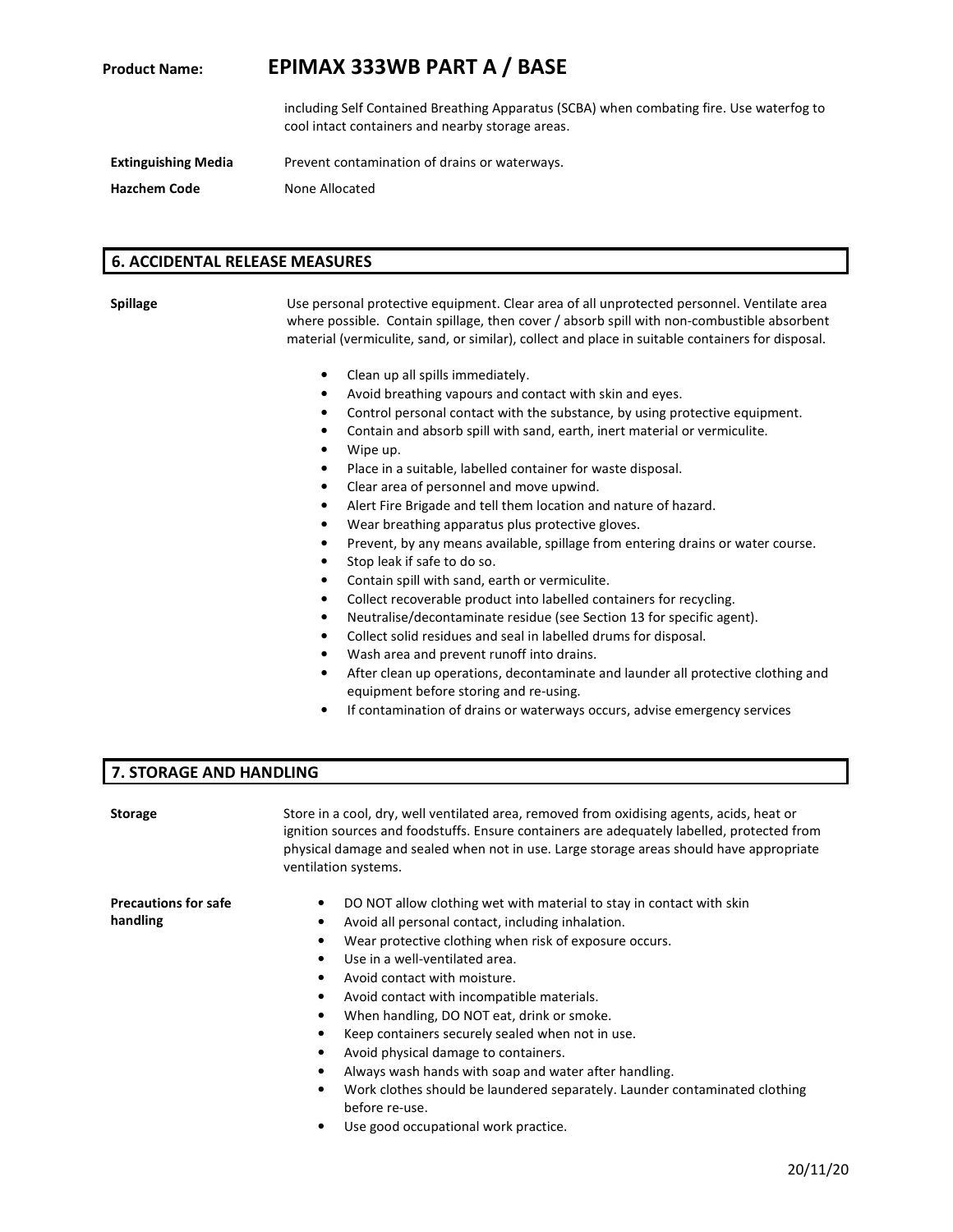including Self Contained Breathing Apparatus (SCBA) when combating fire. Use waterfog to cool intact containers and nearby storage areas.

**Extinguishing Media** Prevent contamination of drains or waterways.

**Hazchem Code None Allocated** 

### **6. ACCIDENTAL RELEASE MEASURES**

**Spillage** Use personal protective equipment. Clear area of all unprotected personnel. Ventilate area where possible. Contain spillage, then cover / absorb spill with non-combustible absorbent material (vermiculite, sand, or similar), collect and place in suitable containers for disposal.

- Clean up all spills immediately.
- Avoid breathing vapours and contact with skin and eyes.
- Control personal contact with the substance, by using protective equipment.
- Contain and absorb spill with sand, earth, inert material or vermiculite.
- Wipe up.
- Place in a suitable, labelled container for waste disposal.
- Clear area of personnel and move upwind.
- Alert Fire Brigade and tell them location and nature of hazard.
- Wear breathing apparatus plus protective gloves.
- Prevent, by any means available, spillage from entering drains or water course.
- Stop leak if safe to do so.
- Contain spill with sand, earth or vermiculite.
- Collect recoverable product into labelled containers for recycling.
- Neutralise/decontaminate residue (see Section 13 for specific agent).
- Collect solid residues and seal in labelled drums for disposal.
- Wash area and prevent runoff into drains.
- After clean up operations, decontaminate and launder all protective clothing and equipment before storing and re-using.
- If contamination of drains or waterways occurs, advise emergency services

#### **7. STORAGE AND HANDLING**

| <b>Storage</b>              | Store in a cool, dry, well ventilated area, removed from oxidising agents, acids, heat or<br>ignition sources and foodstuffs. Ensure containers are adequately labelled, protected from<br>physical damage and sealed when not in use. Large storage areas should have appropriate<br>ventilation systems. |  |  |
|-----------------------------|------------------------------------------------------------------------------------------------------------------------------------------------------------------------------------------------------------------------------------------------------------------------------------------------------------|--|--|
| <b>Precautions for safe</b> | DO NOT allow clothing wet with material to stay in contact with skin<br>٠                                                                                                                                                                                                                                  |  |  |
| handling                    | Avoid all personal contact, including inhalation.<br>٠                                                                                                                                                                                                                                                     |  |  |
|                             | Wear protective clothing when risk of exposure occurs.<br>٠                                                                                                                                                                                                                                                |  |  |
|                             | Use in a well-ventilated area.<br>٠                                                                                                                                                                                                                                                                        |  |  |
|                             | Avoid contact with moisture.<br>$\bullet$                                                                                                                                                                                                                                                                  |  |  |
|                             | Avoid contact with incompatible materials.<br>٠                                                                                                                                                                                                                                                            |  |  |
|                             | When handling, DO NOT eat, drink or smoke.<br>٠                                                                                                                                                                                                                                                            |  |  |
|                             | Keep containers securely sealed when not in use.<br>٠                                                                                                                                                                                                                                                      |  |  |
|                             | Avoid physical damage to containers.<br>٠                                                                                                                                                                                                                                                                  |  |  |
|                             | Always wash hands with soap and water after handling.<br>٠                                                                                                                                                                                                                                                 |  |  |
|                             | Work clothes should be laundered separately. Launder contaminated clothing<br>٠                                                                                                                                                                                                                            |  |  |
|                             | before re-use.                                                                                                                                                                                                                                                                                             |  |  |
|                             | Use good occupational work practice.                                                                                                                                                                                                                                                                       |  |  |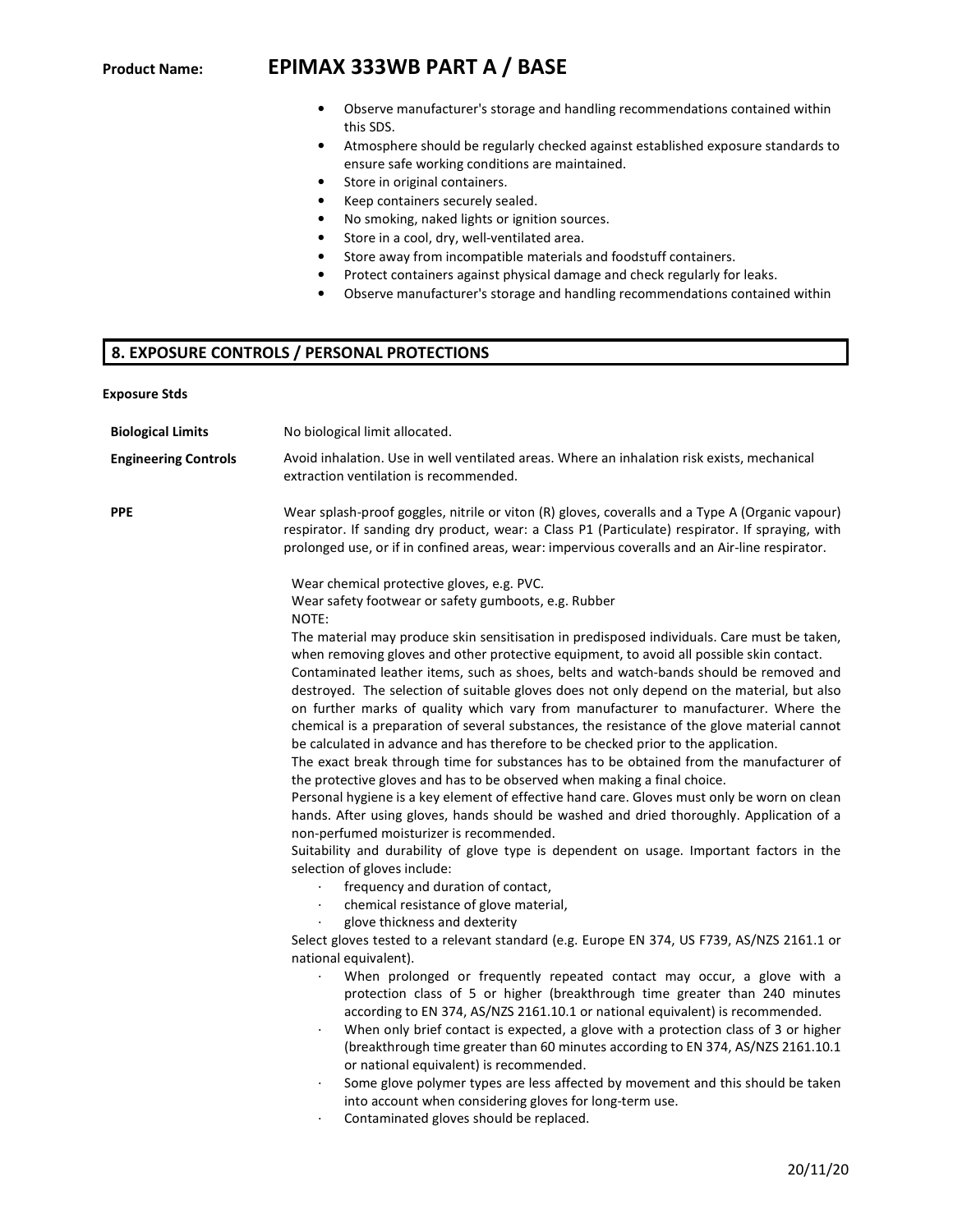- Observe manufacturer's storage and handling recommendations contained within this SDS.
- Atmosphere should be regularly checked against established exposure standards to ensure safe working conditions are maintained.
- Store in original containers.
- Keep containers securely sealed.
- No smoking, naked lights or ignition sources.
- Store in a cool, dry, well-ventilated area.
- Store away from incompatible materials and foodstuff containers.
- Protect containers against physical damage and check regularly for leaks.
- Observe manufacturer's storage and handling recommendations contained within

#### **8. EXPOSURE CONTROLS / PERSONAL PROTECTIONS**

| Exposure Stds |  |
|---------------|--|
|---------------|--|

| <b>Biological Limits</b>    | No biological limit allocated.                                                                                                                                                                                                                                                                                                                                                                                                                                                                                                                                                                                                                                                                                                                                                                                                                                                                                                                                                                                                                                                                                                                                                                                                                                                                               |
|-----------------------------|--------------------------------------------------------------------------------------------------------------------------------------------------------------------------------------------------------------------------------------------------------------------------------------------------------------------------------------------------------------------------------------------------------------------------------------------------------------------------------------------------------------------------------------------------------------------------------------------------------------------------------------------------------------------------------------------------------------------------------------------------------------------------------------------------------------------------------------------------------------------------------------------------------------------------------------------------------------------------------------------------------------------------------------------------------------------------------------------------------------------------------------------------------------------------------------------------------------------------------------------------------------------------------------------------------------|
| <b>Engineering Controls</b> | Avoid inhalation. Use in well ventilated areas. Where an inhalation risk exists, mechanical<br>extraction ventilation is recommended.                                                                                                                                                                                                                                                                                                                                                                                                                                                                                                                                                                                                                                                                                                                                                                                                                                                                                                                                                                                                                                                                                                                                                                        |
| <b>PPE</b>                  | Wear splash-proof goggles, nitrile or viton (R) gloves, coveralls and a Type A (Organic vapour)<br>respirator. If sanding dry product, wear: a Class P1 (Particulate) respirator. If spraying, with<br>prolonged use, or if in confined areas, wear: impervious coveralls and an Air-line respirator.                                                                                                                                                                                                                                                                                                                                                                                                                                                                                                                                                                                                                                                                                                                                                                                                                                                                                                                                                                                                        |
|                             | Wear chemical protective gloves, e.g. PVC.<br>Wear safety footwear or safety gumboots, e.g. Rubber<br>NOTE:                                                                                                                                                                                                                                                                                                                                                                                                                                                                                                                                                                                                                                                                                                                                                                                                                                                                                                                                                                                                                                                                                                                                                                                                  |
|                             | The material may produce skin sensitisation in predisposed individuals. Care must be taken,<br>when removing gloves and other protective equipment, to avoid all possible skin contact.<br>Contaminated leather items, such as shoes, belts and watch-bands should be removed and<br>destroyed. The selection of suitable gloves does not only depend on the material, but also<br>on further marks of quality which vary from manufacturer to manufacturer. Where the<br>chemical is a preparation of several substances, the resistance of the glove material cannot<br>be calculated in advance and has therefore to be checked prior to the application.<br>The exact break through time for substances has to be obtained from the manufacturer of<br>the protective gloves and has to be observed when making a final choice.<br>Personal hygiene is a key element of effective hand care. Gloves must only be worn on clean<br>hands. After using gloves, hands should be washed and dried thoroughly. Application of a<br>non-perfumed moisturizer is recommended.<br>Suitability and durability of glove type is dependent on usage. Important factors in the<br>selection of gloves include:<br>frequency and duration of contact,<br>$\cdot$<br>chemical resistance of glove material,<br>$\cdot$ |
|                             | glove thickness and dexterity<br>Select gloves tested to a relevant standard (e.g. Europe EN 374, US F739, AS/NZS 2161.1 or<br>national equivalent).<br>When prolonged or frequently repeated contact may occur, a glove with a<br>$\bullet$<br>protection class of 5 or higher (breakthrough time greater than 240 minutes<br>according to EN 374, AS/NZS 2161.10.1 or national equivalent) is recommended.<br>When only brief contact is expected, a glove with a protection class of 3 or higher<br>$\cdot$<br>(breakthrough time greater than 60 minutes according to EN 374, AS/NZS 2161.10.1<br>or national equivalent) is recommended.<br>Some glove polymer types are less affected by movement and this should be taken<br>$\cdot$<br>into account when considering gloves for long-term use.<br>Contaminated gloves should be replaced.<br>$\cdot$                                                                                                                                                                                                                                                                                                                                                                                                                                                 |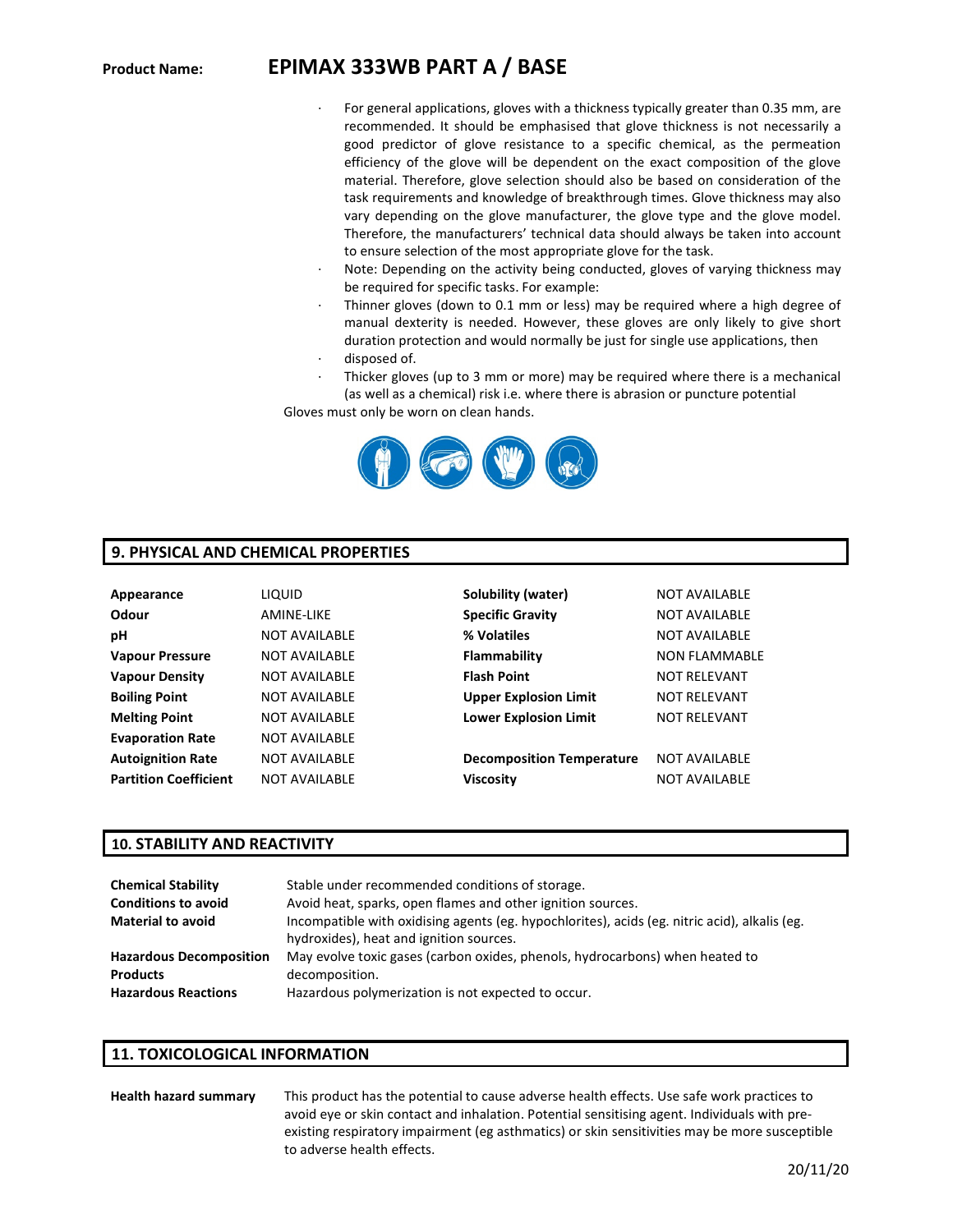- For general applications, gloves with a thickness typically greater than 0.35 mm, are recommended. It should be emphasised that glove thickness is not necessarily a good predictor of glove resistance to a specific chemical, as the permeation efficiency of the glove will be dependent on the exact composition of the glove material. Therefore, glove selection should also be based on consideration of the task requirements and knowledge of breakthrough times. Glove thickness may also vary depending on the glove manufacturer, the glove type and the glove model. Therefore, the manufacturers' technical data should always be taken into account to ensure selection of the most appropriate glove for the task.
- Note: Depending on the activity being conducted, gloves of varying thickness may be required for specific tasks. For example:
- Thinner gloves (down to 0.1 mm or less) may be required where a high degree of manual dexterity is needed. However, these gloves are only likely to give short duration protection and would normally be just for single use applications, then disposed of.
- 
- Thicker gloves (up to 3 mm or more) may be required where there is a mechanical (as well as a chemical) risk i.e. where there is abrasion or puncture potential

Gloves must only be worn on clean hands.



## **9. PHYSICAL AND CHEMICAL PROPERTIES**

| Appearance                   | <b>LIQUID</b>        | Solubility (water)               | <b>NOT AVAILABLE</b> |
|------------------------------|----------------------|----------------------------------|----------------------|
| Odour                        | <b>AMINE-LIKE</b>    | <b>Specific Gravity</b>          | <b>NOT AVAILABLE</b> |
| рH                           | <b>NOT AVAILABLE</b> | % Volatiles                      | <b>NOT AVAILABLE</b> |
| <b>Vapour Pressure</b>       | <b>NOT AVAILABLE</b> | Flammability                     | <b>NON FLAMMABLE</b> |
| <b>Vapour Density</b>        | <b>NOT AVAILABLE</b> | <b>Flash Point</b>               | <b>NOT RELEVANT</b>  |
| <b>Boiling Point</b>         | <b>NOT AVAILABLE</b> | <b>Upper Explosion Limit</b>     | <b>NOT RELEVANT</b>  |
| <b>Melting Point</b>         | <b>NOT AVAILABLE</b> | <b>Lower Explosion Limit</b>     | <b>NOT RELEVANT</b>  |
| <b>Evaporation Rate</b>      | <b>NOT AVAILABLE</b> |                                  |                      |
| <b>Autoignition Rate</b>     | <b>NOT AVAILABLE</b> | <b>Decomposition Temperature</b> | <b>NOT AVAILABLE</b> |
| <b>Partition Coefficient</b> | NOT AVAILABLE        | <b>Viscosity</b>                 | <b>NOT AVAILABLE</b> |

#### **10. STABILITY AND REACTIVITY**

| <b>Chemical Stability</b>      | Stable under recommended conditions of storage.                                                                                          |
|--------------------------------|------------------------------------------------------------------------------------------------------------------------------------------|
| <b>Conditions to avoid</b>     | Avoid heat, sparks, open flames and other ignition sources.                                                                              |
| <b>Material to avoid</b>       | Incompatible with oxidising agents (eg. hypochlorites), acids (eg. nitric acid), alkalis (eg.<br>hydroxides), heat and ignition sources. |
| <b>Hazardous Decomposition</b> | May evolve toxic gases (carbon oxides, phenols, hydrocarbons) when heated to                                                             |
| <b>Products</b>                | decomposition.                                                                                                                           |
| <b>Hazardous Reactions</b>     | Hazardous polymerization is not expected to occur.                                                                                       |

#### **11. TOXICOLOGICAL INFORMATION**

**Health hazard summary** This product has the potential to cause adverse health effects. Use safe work practices to avoid eye or skin contact and inhalation. Potential sensitising agent. Individuals with preexisting respiratory impairment (eg asthmatics) or skin sensitivities may be more susceptible to adverse health effects.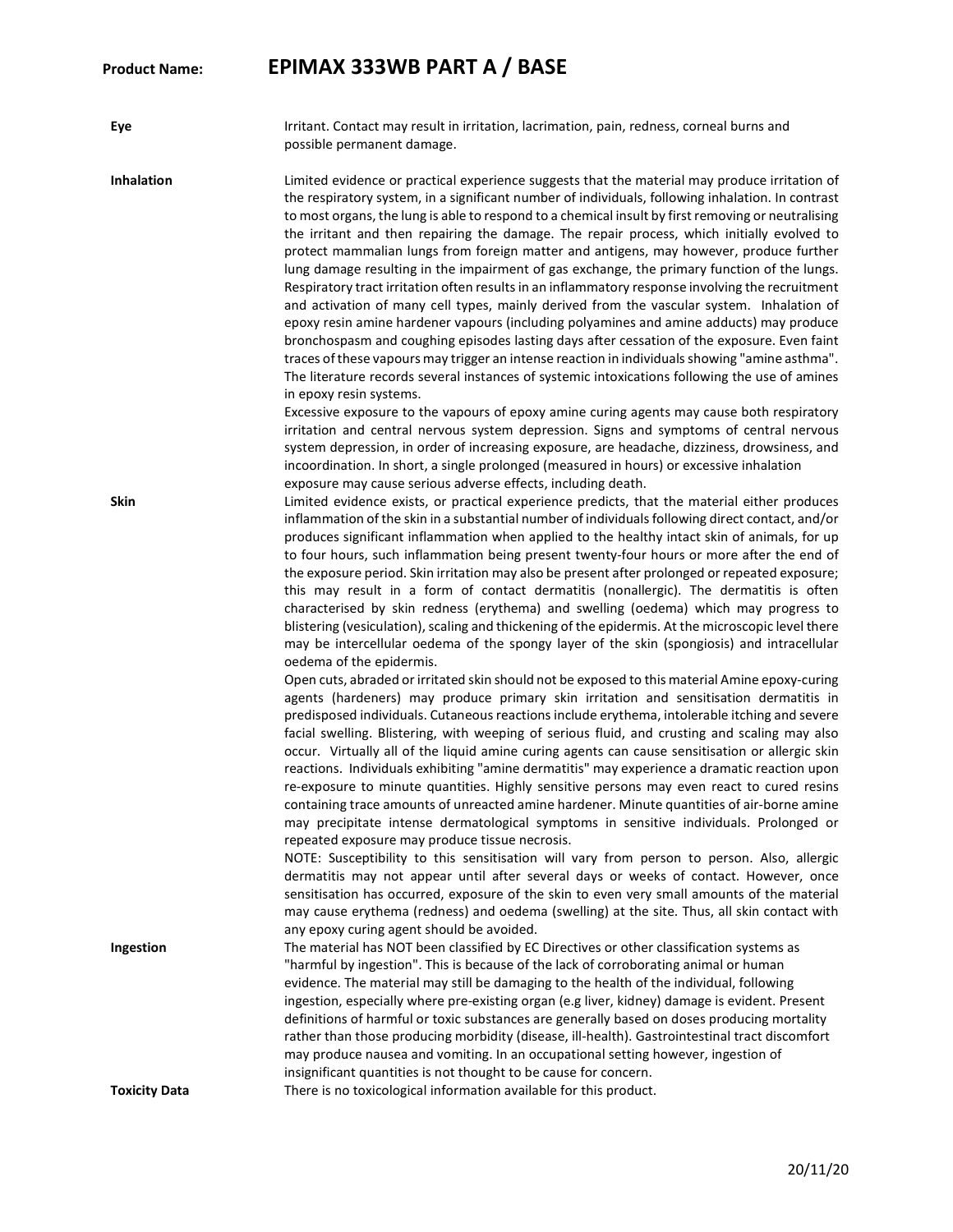**Eye** Irritant. Contact may result in irritation, lacrimation, pain, redness, corneal burns and possible permanent damage.

**Inhalation** Limited evidence or practical experience suggests that the material may produce irritation of the respiratory system, in a significant number of individuals, following inhalation. In contrast to most organs, the lung is able to respond to a chemical insult by first removing or neutralising the irritant and then repairing the damage. The repair process, which initially evolved to protect mammalian lungs from foreign matter and antigens, may however, produce further lung damage resulting in the impairment of gas exchange, the primary function of the lungs. Respiratory tract irritation often results in an inflammatory response involving the recruitment and activation of many cell types, mainly derived from the vascular system. Inhalation of epoxy resin amine hardener vapours (including polyamines and amine adducts) may produce bronchospasm and coughing episodes lasting days after cessation of the exposure. Even faint traces of these vapours may trigger an intense reaction in individuals showing "amine asthma". The literature records several instances of systemic intoxications following the use of amines in epoxy resin systems.

Excessive exposure to the vapours of epoxy amine curing agents may cause both respiratory irritation and central nervous system depression. Signs and symptoms of central nervous system depression, in order of increasing exposure, are headache, dizziness, drowsiness, and incoordination. In short, a single prolonged (measured in hours) or excessive inhalation exposure may cause serious adverse effects, including death.

**Skin** Limited evidence exists, or practical experience predicts, that the material either produces inflammation of the skin in a substantial number of individuals following direct contact, and/or produces significant inflammation when applied to the healthy intact skin of animals, for up to four hours, such inflammation being present twenty-four hours or more after the end of the exposure period. Skin irritation may also be present after prolonged or repeated exposure; this may result in a form of contact dermatitis (nonallergic). The dermatitis is often characterised by skin redness (erythema) and swelling (oedema) which may progress to blistering (vesiculation), scaling and thickening of the epidermis. At the microscopic level there may be intercellular oedema of the spongy layer of the skin (spongiosis) and intracellular oedema of the epidermis.

> Open cuts, abraded or irritated skin should not be exposed to this material Amine epoxy-curing agents (hardeners) may produce primary skin irritation and sensitisation dermatitis in predisposed individuals. Cutaneous reactions include erythema, intolerable itching and severe facial swelling. Blistering, with weeping of serious fluid, and crusting and scaling may also occur. Virtually all of the liquid amine curing agents can cause sensitisation or allergic skin reactions. Individuals exhibiting "amine dermatitis" may experience a dramatic reaction upon re-exposure to minute quantities. Highly sensitive persons may even react to cured resins containing trace amounts of unreacted amine hardener. Minute quantities of air-borne amine may precipitate intense dermatological symptoms in sensitive individuals. Prolonged or repeated exposure may produce tissue necrosis.

> NOTE: Susceptibility to this sensitisation will vary from person to person. Also, allergic dermatitis may not appear until after several days or weeks of contact. However, once sensitisation has occurred, exposure of the skin to even very small amounts of the material may cause erythema (redness) and oedema (swelling) at the site. Thus, all skin contact with any epoxy curing agent should be avoided.

**Ingestion The material has NOT been classified by EC Directives or other classification systems as** "harmful by ingestion". This is because of the lack of corroborating animal or human evidence. The material may still be damaging to the health of the individual, following ingestion, especially where pre-existing organ (e.g liver, kidney) damage is evident. Present definitions of harmful or toxic substances are generally based on doses producing mortality rather than those producing morbidity (disease, ill-health). Gastrointestinal tract discomfort may produce nausea and vomiting. In an occupational setting however, ingestion of insignificant quantities is not thought to be cause for concern.

**Toxicity Data There is no toxicological information available for this product.**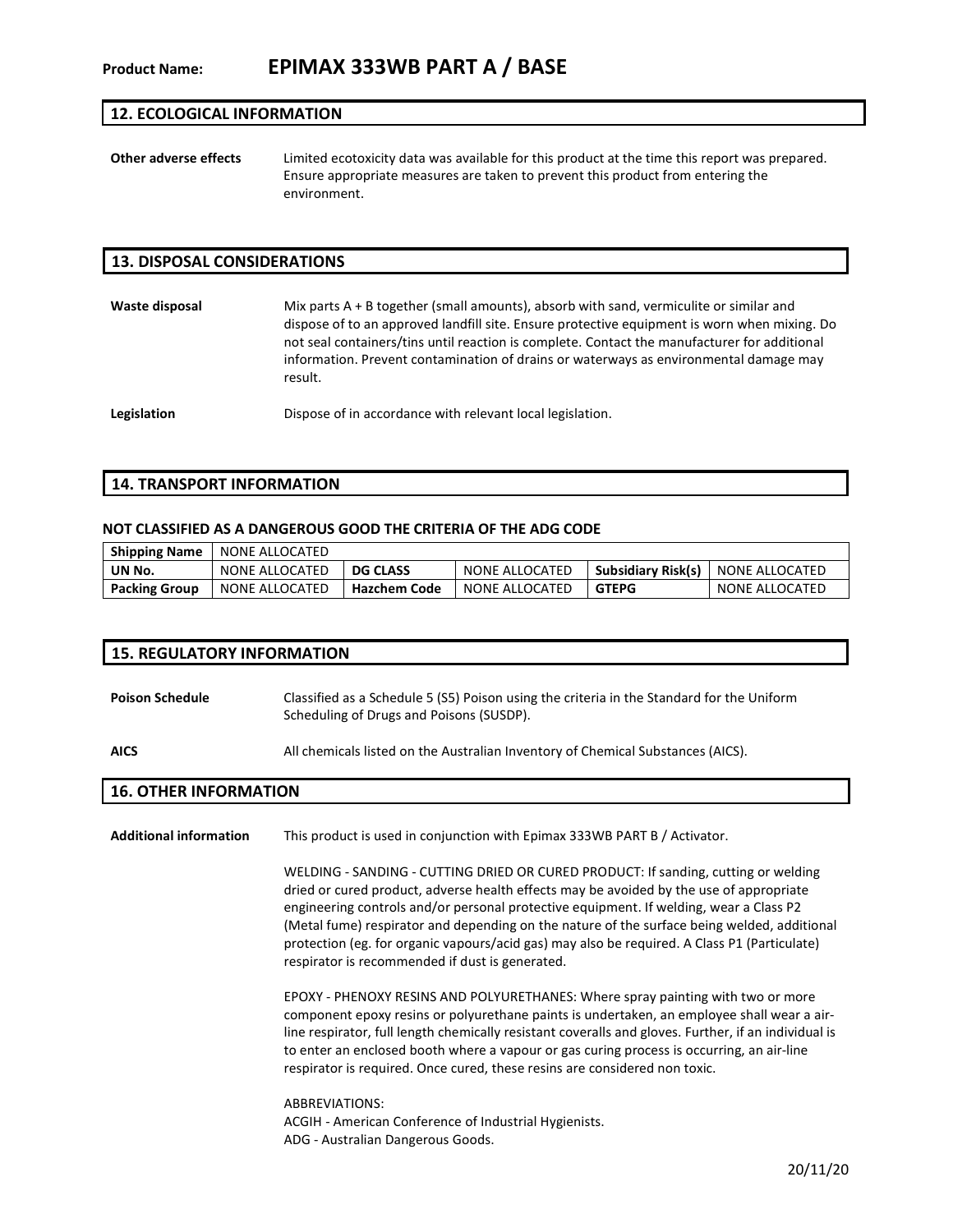#### **12. ECOLOGICAL INFORMATION**

**Other adverse effects** Limited ecotoxicity data was available for this product at the time this report was prepared. Ensure appropriate measures are taken to prevent this product from entering the environment.

#### **13. DISPOSAL CONSIDERATIONS**

**Waste disposal** Mix parts A + B together (small amounts), absorb with sand, vermiculite or similar and dispose of to an approved landfill site. Ensure protective equipment is worn when mixing. Do not seal containers/tins until reaction is complete. Contact the manufacturer for additional information. Prevent contamination of drains or waterways as environmental damage may result.

**Legislation** Dispose of in accordance with relevant local legislation.

#### **14. TRANSPORT INFORMATION**

#### **NOT CLASSIFIED AS A DANGEROUS GOOD THE CRITERIA OF THE ADG CODE**

| <b>Shipping Name</b> | NONE ALLOCATED |                     |                |                                     |                |
|----------------------|----------------|---------------------|----------------|-------------------------------------|----------------|
| UN No.               | NONE ALLOCATED | <b>DG CLASS</b>     | NONE ALLOCATED | Subsidiary Risk(s)   NONE ALLOCATED |                |
| <b>Packing Group</b> | NONE ALLOCATED | <b>Hazchem Code</b> | NONE ALLOCATED | <b>GTEPG</b>                        | NONE ALLOCATED |

#### **15. REGULATORY INFORMATION**

**Poison Schedule** Classified as a Schedule 5 (S5) Poison using the criteria in the Standard for the Uniform Scheduling of Drugs and Poisons (SUSDP).

**AICS** All chemicals listed on the Australian Inventory of Chemical Substances (AICS).

#### **16. OTHER INFORMATION**

**Additional information** This product is used in conjunction with Epimax 333WB PART B / Activator.

WELDING - SANDING - CUTTING DRIED OR CURED PRODUCT: If sanding, cutting or welding dried or cured product, adverse health effects may be avoided by the use of appropriate engineering controls and/or personal protective equipment. If welding, wear a Class P2 (Metal fume) respirator and depending on the nature of the surface being welded, additional protection (eg. for organic vapours/acid gas) may also be required. A Class P1 (Particulate) respirator is recommended if dust is generated.

EPOXY - PHENOXY RESINS AND POLYURETHANES: Where spray painting with two or more component epoxy resins or polyurethane paints is undertaken, an employee shall wear a airline respirator, full length chemically resistant coveralls and gloves. Further, if an individual is to enter an enclosed booth where a vapour or gas curing process is occurring, an air-line respirator is required. Once cured, these resins are considered non toxic.

ABBREVIATIONS: ACGIH - American Conference of Industrial Hygienists. ADG - Australian Dangerous Goods.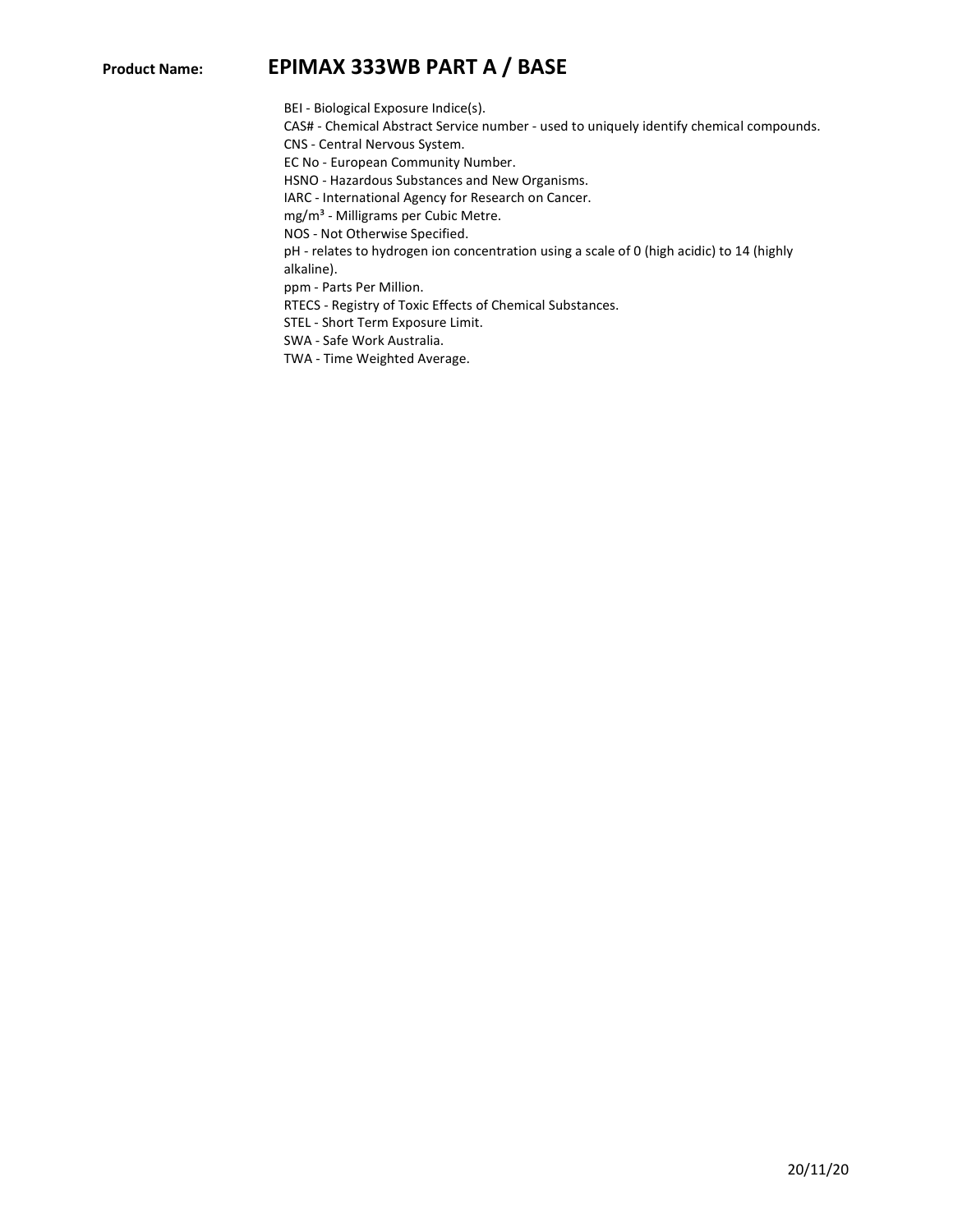BEI - Biological Exposure Indice(s).

CAS# - Chemical Abstract Service number - used to uniquely identify chemical compounds.

CNS - Central Nervous System.

EC No - European Community Number.

HSNO - Hazardous Substances and New Organisms.

IARC - International Agency for Research on Cancer.

mg/m<sup>3</sup> - Milligrams per Cubic Metre.

NOS - Not Otherwise Specified.

pH - relates to hydrogen ion concentration using a scale of 0 (high acidic) to 14 (highly

alkaline). ppm - Parts Per Million.

RTECS - Registry of Toxic Effects of Chemical Substances.

STEL - Short Term Exposure Limit.

SWA - Safe Work Australia.

TWA - Time Weighted Average.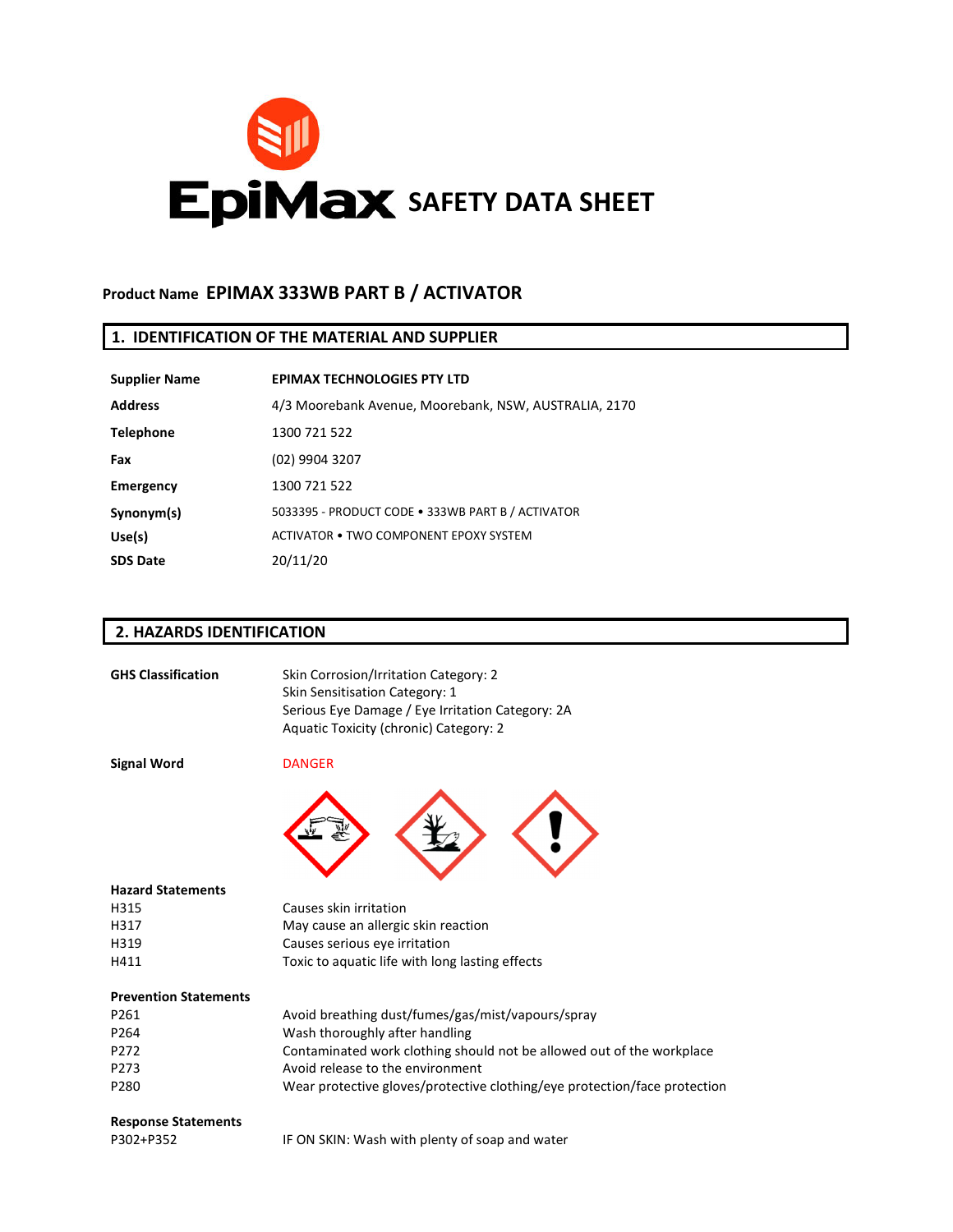

# **Product Name EPIMAX 333WB PART B / ACTIVATOR**

## **1. IDENTIFICATION OF THE MATERIAL AND SUPPLIER**

| <b>Supplier Name</b> | <b>EPIMAX TECHNOLOGIES PTY LTD</b>                    |
|----------------------|-------------------------------------------------------|
| <b>Address</b>       | 4/3 Moorebank Avenue, Moorebank, NSW, AUSTRALIA, 2170 |
| <b>Telephone</b>     | 1300 721 522                                          |
| Fax                  | (02) 9904 3207                                        |
| <b>Emergency</b>     | 1300 721 522                                          |
| Synonym(s)           | 5033395 - PRODUCT CODE . 333WB PART B / ACTIVATOR     |
| Use(s)               | ACTIVATOR • TWO COMPONENT EPOXY SYSTEM                |
| <b>SDS Date</b>      | 20/11/20                                              |

## **2. HAZARDS IDENTIFICATION**

| <b>GHS Classification</b>    | Skin Corrosion/Irritation Category: 2<br>Skin Sensitisation Category: 1<br>Serious Eye Damage / Eye Irritation Category: 2A<br>Aquatic Toxicity (chronic) Category: 2 |
|------------------------------|-----------------------------------------------------------------------------------------------------------------------------------------------------------------------|
| <b>Signal Word</b>           | <b>DANGER</b>                                                                                                                                                         |
|                              |                                                                                                                                                                       |
| <b>Hazard Statements</b>     |                                                                                                                                                                       |
| H315                         | Causes skin irritation                                                                                                                                                |
| H317                         | May cause an allergic skin reaction                                                                                                                                   |
| H319                         | Causes serious eye irritation                                                                                                                                         |
| H411                         | Toxic to aquatic life with long lasting effects                                                                                                                       |
| <b>Prevention Statements</b> |                                                                                                                                                                       |
| P261                         | Avoid breathing dust/fumes/gas/mist/vapours/spray                                                                                                                     |
| P264                         | Wash thoroughly after handling                                                                                                                                        |
| P272                         | Contaminated work clothing should not be allowed out of the workplace                                                                                                 |
| P273                         | Avoid release to the environment                                                                                                                                      |
| P280                         | Wear protective gloves/protective clothing/eye protection/face protection                                                                                             |
| <b>Response Statements</b>   |                                                                                                                                                                       |
| P302+P352                    | IF ON SKIN: Wash with plenty of soap and water                                                                                                                        |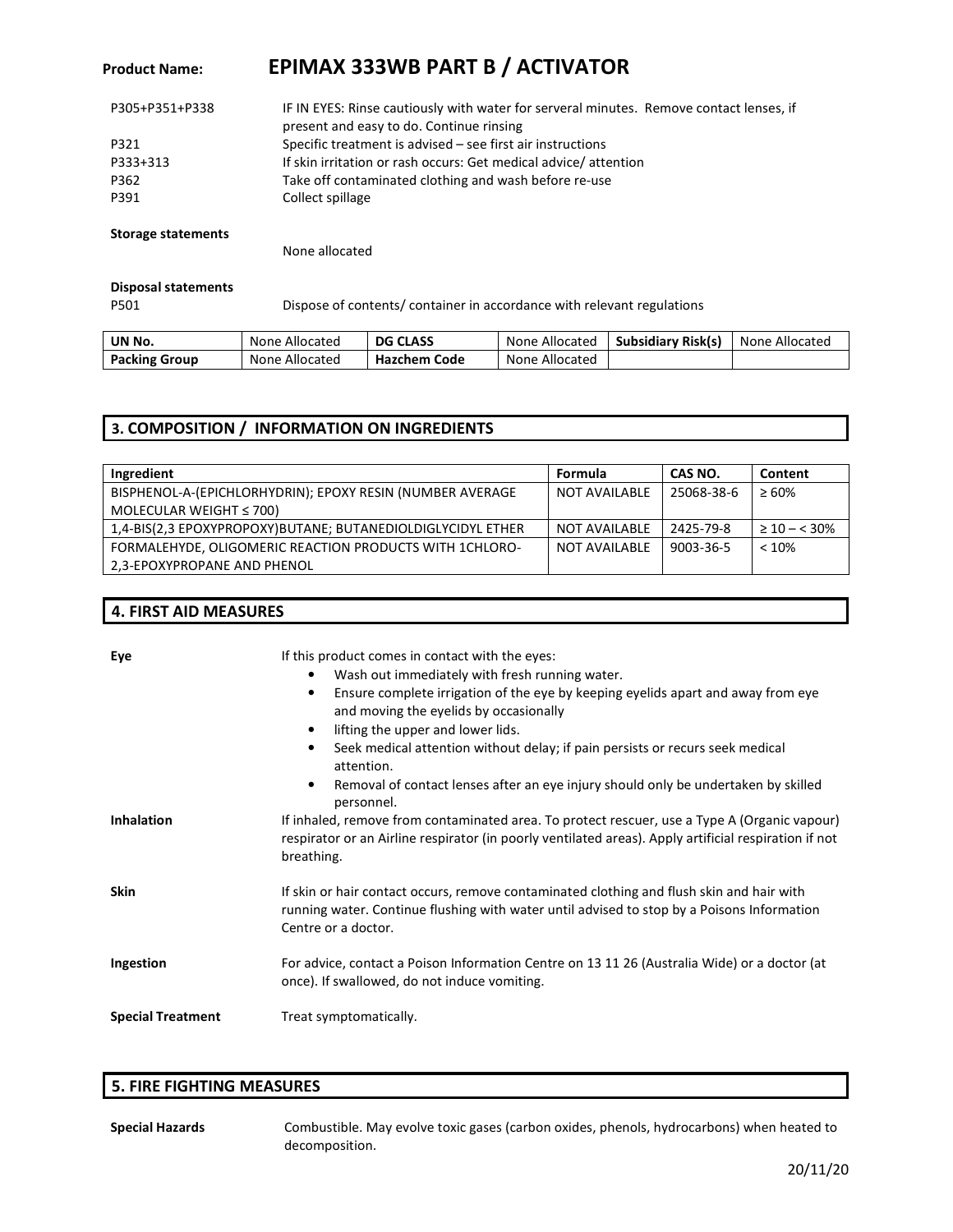# **Product Name: EPIMAX 333WB PART B / ACTIVATOR**

| P305+P351+P338 | IF IN EYES: Rinse cautiously with water for serveral minutes. Remove contact lenses, if<br>present and easy to do. Continue rinsing |
|----------------|-------------------------------------------------------------------------------------------------------------------------------------|
| P321           | Specific treatment is advised – see first air instructions                                                                          |
| P333+313       | If skin irritation or rash occurs: Get medical advice/attention                                                                     |
| P362           | Take off contaminated clothing and wash before re-use                                                                               |
| P391           | Collect spillage                                                                                                                    |
|                |                                                                                                                                     |

#### **Storage statements**

None allocated

## **Disposal statements**

**4. FIRST AID MEASURES**

P501

Dispose of contents/ container in accordance with relevant regulations

| UN No.               | None Allocated | <b>DG CLASS</b> | None Allocated | <b>Subsidiary Risk(s)</b> | None Allocated |
|----------------------|----------------|-----------------|----------------|---------------------------|----------------|
| <b>Packing Group</b> | None Allocated | Hazchem Code    | None Allocated |                           |                |

## **3. COMPOSITION / INFORMATION ON INGREDIENTS**

| Ingredient                                                  | Formula              | CAS NO.    | Content               |
|-------------------------------------------------------------|----------------------|------------|-----------------------|
| BISPHENOL-A-(EPICHLORHYDRIN); EPOXY RESIN (NUMBER AVERAGE   | <b>NOT AVAILABLE</b> | 25068-38-6 | $\geq 60\%$           |
| MOLECULAR WEIGHT $\leq$ 700)                                |                      |            |                       |
| 1,4-BIS(2,3 EPOXYPROPOXY)BUTANE; BUTANEDIOLDIGLYCIDYL ETHER | NOT AVAILABLE        | 2425-79-8  | $\geq 10 - \leq 30\%$ |
| FORMALEHYDE, OLIGOMERIC REACTION PRODUCTS WITH 1CHLORO-     | <b>NOT AVAILABLE</b> | 9003-36-5  | < 10%                 |
| 2,3-EPOXYPROPANE AND PHENOL                                 |                      |            |                       |

| Eye                      | If this product comes in contact with the eyes:<br>Wash out immediately with fresh running water.<br>Ensure complete irrigation of the eye by keeping eyelids apart and away from eye<br>$\bullet$<br>and moving the eyelids by occasionally<br>lifting the upper and lower lids.<br>Seek medical attention without delay; if pain persists or recurs seek medical<br>attention.<br>Removal of contact lenses after an eye injury should only be undertaken by skilled<br>personnel. |  |
|--------------------------|--------------------------------------------------------------------------------------------------------------------------------------------------------------------------------------------------------------------------------------------------------------------------------------------------------------------------------------------------------------------------------------------------------------------------------------------------------------------------------------|--|
| <b>Inhalation</b>        | If inhaled, remove from contaminated area. To protect rescuer, use a Type A (Organic vapour)<br>respirator or an Airline respirator (in poorly ventilated areas). Apply artificial respiration if not<br>breathing.                                                                                                                                                                                                                                                                  |  |
| <b>Skin</b>              | If skin or hair contact occurs, remove contaminated clothing and flush skin and hair with<br>running water. Continue flushing with water until advised to stop by a Poisons Information<br>Centre or a doctor.                                                                                                                                                                                                                                                                       |  |
| Ingestion                | For advice, contact a Poison Information Centre on 13 11 26 (Australia Wide) or a doctor (at<br>once). If swallowed, do not induce vomiting.                                                                                                                                                                                                                                                                                                                                         |  |
| <b>Special Treatment</b> | Treat symptomatically.                                                                                                                                                                                                                                                                                                                                                                                                                                                               |  |

## **5. FIRE FIGHTING MEASURES**

**Special Hazards** Combustible. May evolve toxic gases (carbon oxides, phenols, hydrocarbons) when heated to decomposition.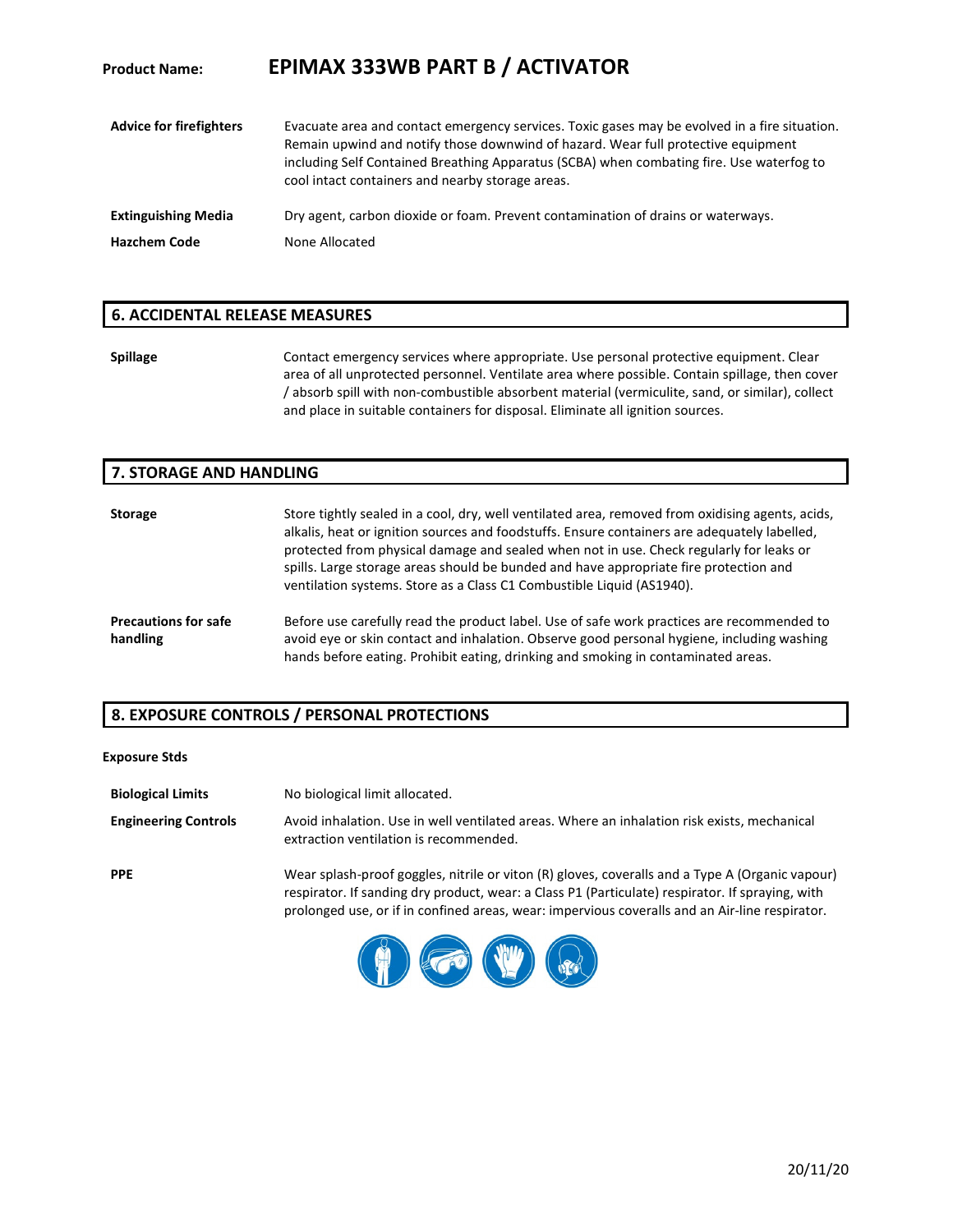| <b>Product Name:</b>           | <b>EPIMAX 333WB PART B / ACTIVATOR</b>                                                                                                                                                                                                                                                                                             |
|--------------------------------|------------------------------------------------------------------------------------------------------------------------------------------------------------------------------------------------------------------------------------------------------------------------------------------------------------------------------------|
| <b>Advice for firefighters</b> | Evacuate area and contact emergency services. Toxic gases may be evolved in a fire situation.<br>Remain upwind and notify those downwind of hazard. Wear full protective equipment<br>including Self Contained Breathing Apparatus (SCBA) when combating fire. Use waterfog to<br>cool intact containers and nearby storage areas. |
| <b>Extinguishing Media</b>     | Dry agent, carbon dioxide or foam. Prevent contamination of drains or waterways.                                                                                                                                                                                                                                                   |
| <b>Hazchem Code</b>            | None Allocated                                                                                                                                                                                                                                                                                                                     |

#### **6. ACCIDENTAL RELEASE MEASURES**

Spillage **Spillage** Contact emergency services where appropriate. Use personal protective equipment. Clear area of all unprotected personnel. Ventilate area where possible. Contain spillage, then cover / absorb spill with non-combustible absorbent material (vermiculite, sand, or similar), collect and place in suitable containers for disposal. Eliminate all ignition sources.

#### **7. STORAGE AND HANDLING**

| <b>Storage</b>                          | Store tightly sealed in a cool, dry, well ventilated area, removed from oxidising agents, acids,<br>alkalis, heat or ignition sources and foodstuffs. Ensure containers are adequately labelled,<br>protected from physical damage and sealed when not in use. Check regularly for leaks or<br>spills. Large storage areas should be bunded and have appropriate fire protection and<br>ventilation systems. Store as a Class C1 Combustible Liquid (AS1940). |
|-----------------------------------------|---------------------------------------------------------------------------------------------------------------------------------------------------------------------------------------------------------------------------------------------------------------------------------------------------------------------------------------------------------------------------------------------------------------------------------------------------------------|
| <b>Precautions for safe</b><br>handling | Before use carefully read the product label. Use of safe work practices are recommended to<br>avoid eye or skin contact and inhalation. Observe good personal hygiene, including washing<br>hands before eating. Prohibit eating, drinking and smoking in contaminated areas.                                                                                                                                                                                 |

## **8. EXPOSURE CONTROLS / PERSONAL PROTECTIONS**

#### **Exposure Stds**

| <b>Biological Limits</b>    | No biological limit allocated.                                                                                                                                                                                                                                                                        |
|-----------------------------|-------------------------------------------------------------------------------------------------------------------------------------------------------------------------------------------------------------------------------------------------------------------------------------------------------|
| <b>Engineering Controls</b> | Avoid inhalation. Use in well ventilated areas. Where an inhalation risk exists, mechanical<br>extraction ventilation is recommended.                                                                                                                                                                 |
| <b>PPE</b>                  | Wear splash-proof goggles, nitrile or viton (R) gloves, coveralls and a Type A (Organic vapour)<br>respirator. If sanding dry product, wear: a Class P1 (Particulate) respirator. If spraying, with<br>prolonged use, or if in confined areas, wear: impervious coveralls and an Air-line respirator. |
|                             |                                                                                                                                                                                                                                                                                                       |

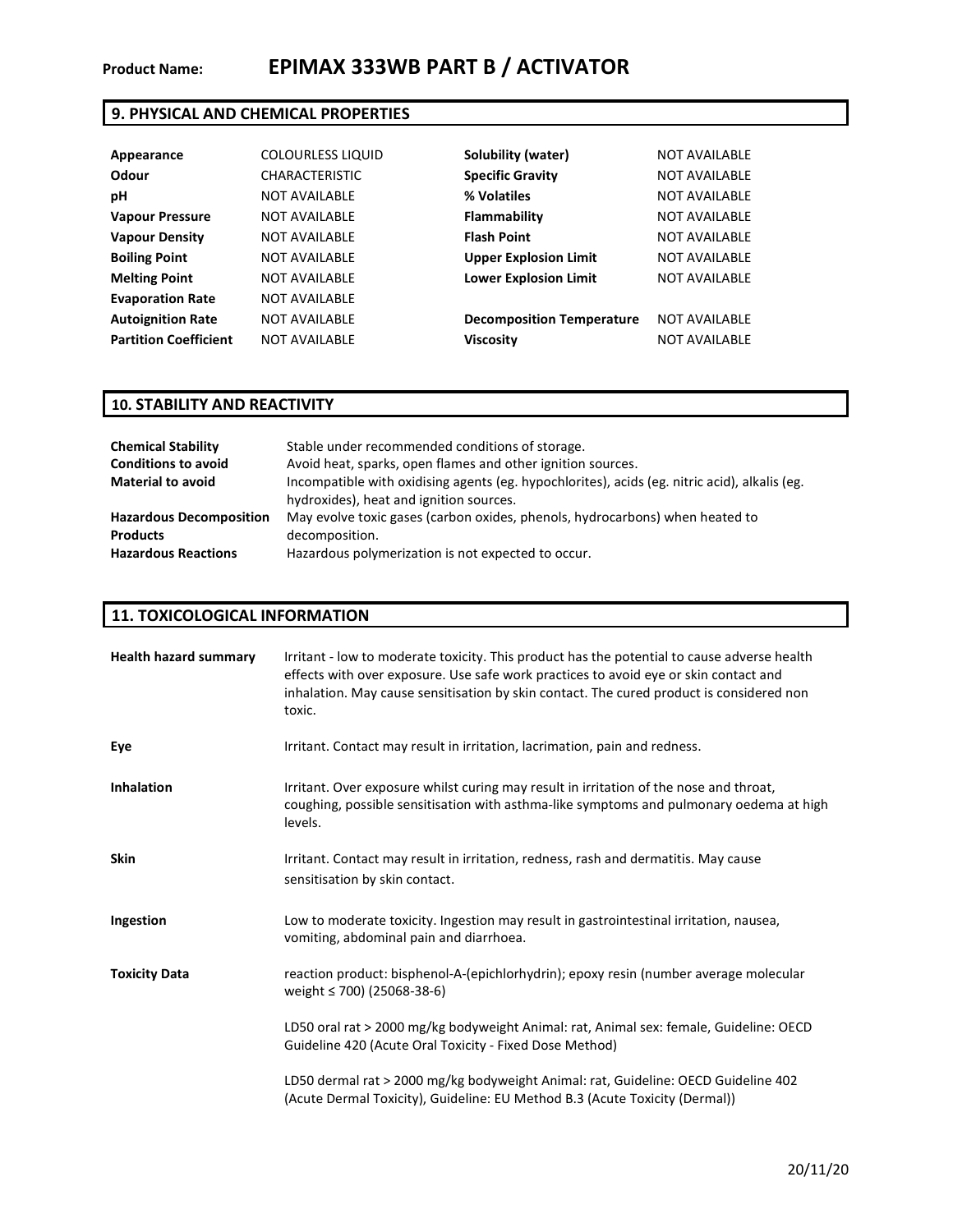## **9. PHYSICAL AND CHEMICAL PROPERTIES**

| Appearance                   | <b>COLOURLESS LIQUID</b> | Solubility (water)               | <b>NOT AVAILABLE</b> |
|------------------------------|--------------------------|----------------------------------|----------------------|
| Odour                        | <b>CHARACTERISTIC</b>    | <b>Specific Gravity</b>          | <b>NOT AVAILABLE</b> |
| рH                           | <b>NOT AVAILABLE</b>     | % Volatiles                      | <b>NOT AVAILABLE</b> |
| <b>Vapour Pressure</b>       | <b>NOT AVAILABLE</b>     | Flammability                     | <b>NOT AVAILABLE</b> |
| <b>Vapour Density</b>        | <b>NOT AVAILABLE</b>     | <b>Flash Point</b>               | <b>NOT AVAILABLE</b> |
| <b>Boiling Point</b>         | <b>NOT AVAILABLE</b>     | <b>Upper Explosion Limit</b>     | <b>NOT AVAILABLE</b> |
| <b>Melting Point</b>         | <b>NOT AVAILABLE</b>     | <b>Lower Explosion Limit</b>     | <b>NOT AVAILABLE</b> |
| <b>Evaporation Rate</b>      | <b>NOT AVAILABLE</b>     |                                  |                      |
| <b>Autoignition Rate</b>     | <b>NOT AVAILABLE</b>     | <b>Decomposition Temperature</b> | <b>NOT AVAILABLE</b> |
| <b>Partition Coefficient</b> | <b>NOT AVAILABLE</b>     | <b>Viscosity</b>                 | <b>NOT AVAILABLE</b> |

## **10. STABILITY AND REACTIVITY**

| <b>Chemical Stability</b>      | Stable under recommended conditions of storage.                                               |  |
|--------------------------------|-----------------------------------------------------------------------------------------------|--|
| <b>Conditions to avoid</b>     | Avoid heat, sparks, open flames and other ignition sources.                                   |  |
| <b>Material to avoid</b>       | Incompatible with oxidising agents (eg. hypochlorites), acids (eg. nitric acid), alkalis (eg. |  |
|                                | hydroxides), heat and ignition sources.                                                       |  |
| <b>Hazardous Decomposition</b> | May evolve toxic gases (carbon oxides, phenols, hydrocarbons) when heated to                  |  |
| <b>Products</b>                | decomposition.                                                                                |  |
| <b>Hazardous Reactions</b>     | Hazardous polymerization is not expected to occur.                                            |  |

## **11. TOXICOLOGICAL INFORMATION**

| <b>Health hazard summary</b> | Irritant - low to moderate toxicity. This product has the potential to cause adverse health<br>effects with over exposure. Use safe work practices to avoid eye or skin contact and<br>inhalation. May cause sensitisation by skin contact. The cured product is considered non<br>toxic. |
|------------------------------|-------------------------------------------------------------------------------------------------------------------------------------------------------------------------------------------------------------------------------------------------------------------------------------------|
| Eye                          | Irritant. Contact may result in irritation, lacrimation, pain and redness.                                                                                                                                                                                                                |
| <b>Inhalation</b>            | Irritant. Over exposure whilst curing may result in irritation of the nose and throat,<br>coughing, possible sensitisation with asthma-like symptoms and pulmonary oedema at high<br>levels.                                                                                              |
| <b>Skin</b>                  | Irritant. Contact may result in irritation, redness, rash and dermatitis. May cause<br>sensitisation by skin contact.                                                                                                                                                                     |
| Ingestion                    | Low to moderate toxicity. Ingestion may result in gastrointestinal irritation, nausea,<br>vomiting, abdominal pain and diarrhoea.                                                                                                                                                         |
| <b>Toxicity Data</b>         | reaction product: bisphenol-A-(epichlorhydrin); epoxy resin (number average molecular<br>weight $\leq$ 700) (25068-38-6)                                                                                                                                                                  |
|                              | LD50 oral rat > 2000 mg/kg bodyweight Animal: rat, Animal sex: female, Guideline: OECD<br>Guideline 420 (Acute Oral Toxicity - Fixed Dose Method)                                                                                                                                         |
|                              | LD50 dermal rat > 2000 mg/kg bodyweight Animal: rat, Guideline: OECD Guideline 402<br>(Acute Dermal Toxicity), Guideline: EU Method B.3 (Acute Toxicity (Dermal))                                                                                                                         |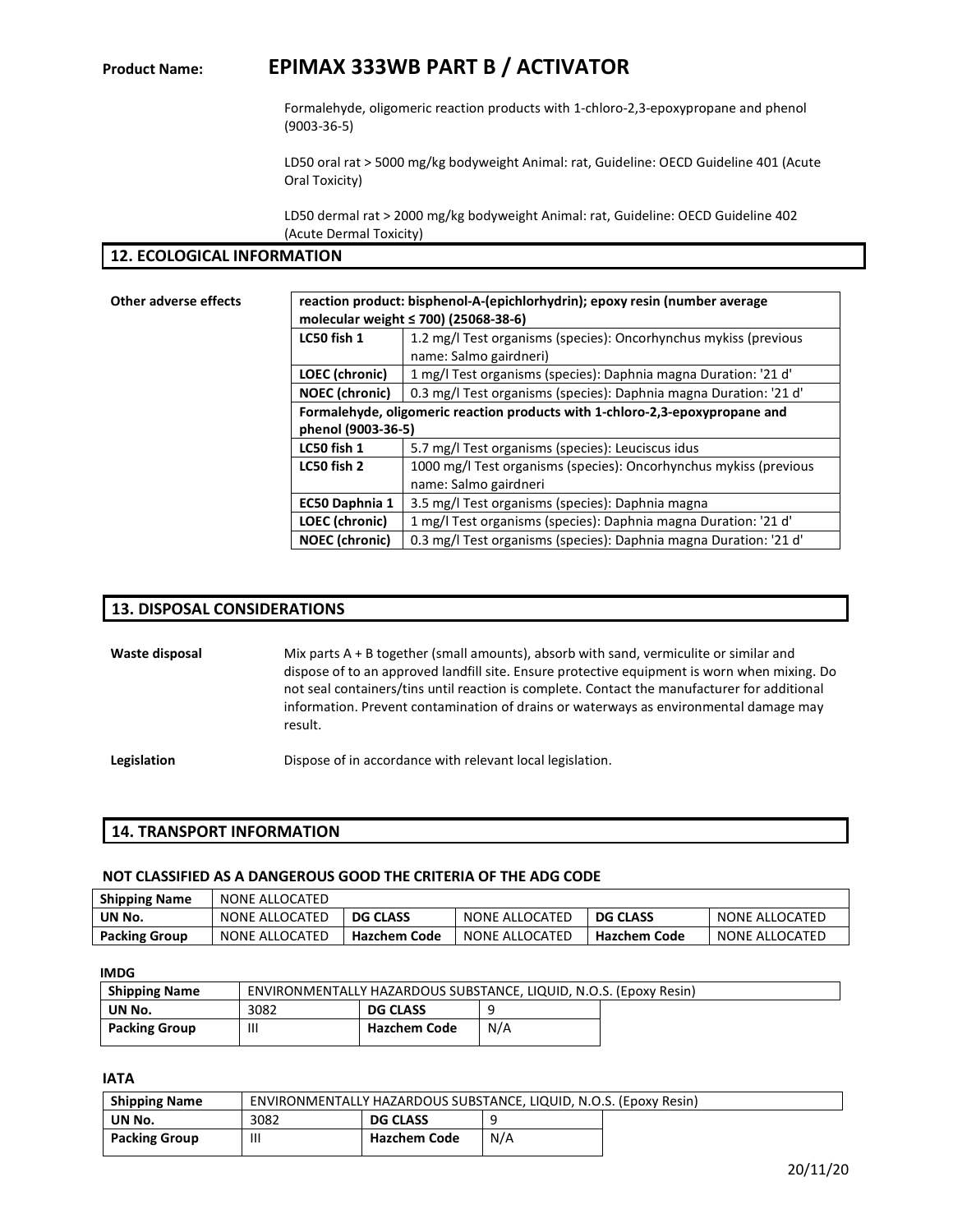# **Product Name: EPIMAX 333WB PART B / ACTIVATOR**

Formalehyde, oligomeric reaction products with 1-chloro-2,3-epoxypropane and phenol (9003-36-5)

LD50 oral rat > 5000 mg/kg bodyweight Animal: rat, Guideline: OECD Guideline 401 (Acute Oral Toxicity)

LD50 dermal rat > 2000 mg/kg bodyweight Animal: rat, Guideline: OECD Guideline 402 (Acute Dermal Toxicity)

### **12. ECOLOGICAL INFORMATION**

| <b>Other adverse effects</b> |                       | reaction product: bisphenol-A-(epichlorhydrin); epoxy resin (number average<br>molecular weight $\leq$ 700) (25068-38-6) |  |  |  |
|------------------------------|-----------------------|--------------------------------------------------------------------------------------------------------------------------|--|--|--|
|                              | LC50 fish 1           | 1.2 mg/l Test organisms (species): Oncorhynchus mykiss (previous<br>name: Salmo gairdneri)                               |  |  |  |
|                              | <b>LOEC</b> (chronic) | 1 mg/l Test organisms (species): Daphnia magna Duration: '21 d'                                                          |  |  |  |
|                              | <b>NOEC</b> (chronic) | 0.3 mg/l Test organisms (species): Daphnia magna Duration: '21 d'                                                        |  |  |  |
|                              |                       | Formalehyde, oligomeric reaction products with 1-chloro-2,3-epoxypropane and                                             |  |  |  |
|                              |                       | phenol (9003-36-5)                                                                                                       |  |  |  |
|                              | LC50 fish 1           | 5.7 mg/l Test organisms (species): Leuciscus idus                                                                        |  |  |  |
|                              | LC50 fish 2           | 1000 mg/l Test organisms (species): Oncorhynchus mykiss (previous                                                        |  |  |  |
|                              |                       | name: Salmo gairdneri                                                                                                    |  |  |  |
|                              | EC50 Daphnia 1        | 3.5 mg/l Test organisms (species): Daphnia magna                                                                         |  |  |  |
|                              | <b>LOEC</b> (chronic) | 1 mg/l Test organisms (species): Daphnia magna Duration: '21 d'                                                          |  |  |  |
|                              | <b>NOEC</b> (chronic) | 0.3 mg/l Test organisms (species): Daphnia magna Duration: '21 d'                                                        |  |  |  |

## **13. DISPOSAL CONSIDERATIONS**

**Waste disposal** Mix parts A + B together (small amounts), absorb with sand, vermiculite or similar and dispose of to an approved landfill site. Ensure protective equipment is worn when mixing. Do not seal containers/tins until reaction is complete. Contact the manufacturer for additional information. Prevent contamination of drains or waterways as environmental damage may result.

**Legislation** Dispose of in accordance with relevant local legislation.

#### **14. TRANSPORT INFORMATION**

#### **NOT CLASSIFIED AS A DANGEROUS GOOD THE CRITERIA OF THE ADG CODE**

| <b>Shipping Name</b> | NONE ALLOCATED |                     |                |                     |                |
|----------------------|----------------|---------------------|----------------|---------------------|----------------|
| UN No.               | NONE ALLOCATED | <b>DG CLASS</b>     | NONE ALLOCATED | <b>DG CLASS</b>     | NONE ALLOCATED |
| <b>Packing Group</b> | NONE ALLOCATED | <b>Hazchem Code</b> | NONE ALLOCATED | <b>Hazchem Code</b> | NONE ALLOCATED |

**IMDG** 

| <b>Shipping Name</b> | ENVIRONMENTALLY HAZARDOUS SUBSTANCE, LIQUID, N.O.S. (Epoxy Resin) |                     |     |  |
|----------------------|-------------------------------------------------------------------|---------------------|-----|--|
| UN No.               | 3082                                                              | <b>DG CLASS</b>     |     |  |
| <b>Packing Group</b> | Ш                                                                 | <b>Hazchem Code</b> | N/A |  |

**IATA** 

| <b>Shipping Name</b> | ENVIRONMENTALLY HAZARDOUS SUBSTANCE, LIQUID, N.O.S. (Epoxy Resin) |                     |     |  |
|----------------------|-------------------------------------------------------------------|---------------------|-----|--|
| UN No.               | 3082                                                              | <b>DG CLASS</b>     |     |  |
| <b>Packing Group</b> |                                                                   | <b>Hazchem Code</b> | N/A |  |